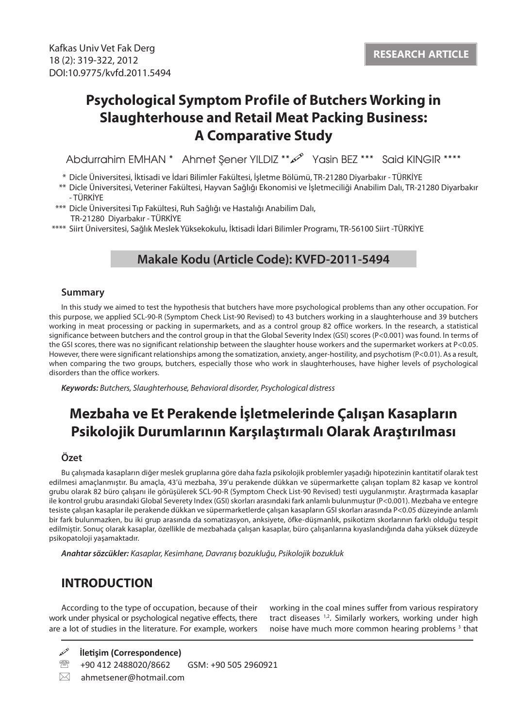# **Psychological Symptom Profile of Butchers Working in Slaughterhouse and Retail Meat Packing Business: A Comparative Study**

Abdurrahim EMHAN \* Ahmet Şener YILDIZ \*\* $\mathscr{P}$  Yasin BEZ \*\*\* Said KINGIR \*\*\*\*

- \* Dicle Üniversitesi, İktisadi ve İdari Bilimler Fakültesi, İşletme Bölümü, TR-21280 Diyarbakır TÜRKİYE
- \*\* Dicle Üniversitesi, Veteriner Fakültesi, Hayvan Sağlığı Ekonomisi ve İşletmeciliği Anabilim Dalı, TR-21280 Diyarbakır - TÜRKİYE
- \*\*\* Dicle Üniversitesi Tıp Fakültesi, Ruh Sağlığı ve Hastalığı Anabilim Dalı, TR-21280 Diyarbakır - TÜRKİYE
- \*\*\*\* Siirt Üniversitesi, Sağlık Meslek Yüksekokulu, İktisadi İdari Bilimler Programı, TR-56100 Siirt -TÜRKİYE

## **Makale Kodu (Article Code): KVFD-2011-5494**

#### **Summary**

In this study we aimed to test the hypothesis that butchers have more psychological problems than any other occupation. For this purpose, we applied SCL-90-R (Symptom Check List-90 Revised) to 43 butchers working in a slaughterhouse and 39 butchers working in meat processing or packing in supermarkets, and as a control group 82 office workers. In the research, a statistical significance between butchers and the control group in that the Global Severity Index (GSI) scores (P<0.001) was found. In terms of the GSI scores, there was no significant relationship between the slaughter house workers and the supermarket workers at P<0.05. However, there were significant relationships among the somatization, anxiety, anger-hostility, and psychotism (P<0.01). As a result, when comparing the two groups, butchers, especially those who work in slaughterhouses, have higher levels of psychological disorders than the office workers.

*Keywords: Butchers, Slaughterhouse, Behavioral disorder, Psychological distress*

## **Mezbaha ve Et Perakende İşletmelerinde Çalışan Kasapların Psikolojik Durumlarının Karşılaştırmalı Olarak Araştırılması**

### **Özet**

Bu çalışmada kasapların diğer meslek gruplarına göre daha fazla psikolojik problemler yaşadığı hipotezinin kantitatif olarak test edilmesi amaçlanmıştır. Bu amaçla, 43'ü mezbaha, 39'u perakende dükkan ve süpermarkette çalışan toplam 82 kasap ve kontrol grubu olarak 82 büro çalışanı ile görüşülerek SCL-90-R (Symptom Check List-90 Revised) testi uygulanmıştır. Araştırmada kasaplar ile kontrol grubu arasındaki Global Severety Index (GSI) skorları arasındaki fark anlamlı bulunmuştur (P<0.001). Mezbaha ve entegre tesiste çalışan kasaplar ile perakende dükkan ve süpermarketlerde çalışan kasapların GSI skorları arasında P<0.05 düzeyinde anlamlı bir fark bulunmazken, bu iki grup arasında da somatizasyon, anksiyete, öfke-düşmanlık, psikotizm skorlarının farklı olduğu tespit edilmiştir. Sonuç olarak kasaplar, özellikle de mezbahada çalışan kasaplar, büro çalışanlarına kıyaslandığında daha yüksek düzeyde psikopatoloji yaşamaktadır.

*Anahtar sözcükler: Kasaplar, Kesimhane, Davranış bozukluğu, Psikolojik bozukluk*

## **INTRODUCTION**

According to the type of occupation, because of their work under physical or psychological negative effects, there are a lot of studies in the literature. For example, workers working in the coal mines suffer from various respiratory tract diseases <sup>1,2</sup>. Similarly workers, working under high noise have much more common hearing problems<sup>3</sup> that

**İletişim (Correspondence)**

- <sup>2</sup><sup>3</sup> +90 412 2488020/8662 GSM: +90 505 2960921
- $\boxtimes$  ahmetsener@hotmail.com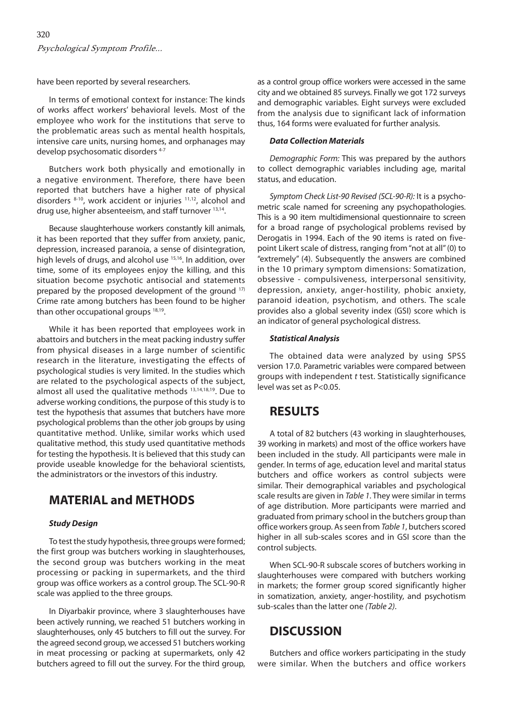have been reported by several researchers.

In terms of emotional context for instance: The kinds of works affect workers' behavioral levels. Most of the employee who work for the institutions that serve to the problematic areas such as mental health hospitals, intensive care units, nursing homes, and orphanages may develop psychosomatic disorders 4-7

Butchers work both physically and emotionally in a negative environment. Therefore, there have been reported that butchers have a higher rate of physical disorders 8-10, work accident or injuries 11,12, alcohol and drug use, higher absenteeism, and staff turnover 13,14.

Because slaughterhouse workers constantly kill animals, it has been reported that they suffer from anxiety, panic, depression, increased paranoia, a sense of disintegration, high levels of drugs, and alcohol use <sup>15,16</sup>. In addition, over time, some of its employees enjoy the killing, and this situation become psychotic antisocial and statements prepared by the proposed development of the ground 17) Crime rate among butchers has been found to be higher than other occupational groups 18,19.

While it has been reported that employees work in abattoirs and butchers in the meat packing industry suffer from physical diseases in a large number of scientific research in the literature, investigating the effects of psychological studies is very limited. In the studies which are related to the psychological aspects of the subject, almost all used the qualitative methods 13,14,18,19. Due to adverse working conditions, the purpose of this study is to test the hypothesis that assumes that butchers have more psychological problems than the other job groups by using quantitative method. Unlike, similar works which used qualitative method, this study used quantitative methods for testing the hypothesis. It is believed that this study can provide useable knowledge for the behavioral scientists, the administrators or the investors of this industry.

## **MATERIAL and METHODS**

#### *Study Design*

To test the study hypothesis, three groups were formed; the first group was butchers working in slaughterhouses, the second group was butchers working in the meat processing or packing in supermarkets, and the third group was office workers as a control group. The SCL-90-R scale was applied to the three groups.

In Diyarbakir province, where 3 slaughterhouses have been actively running, we reached 51 butchers working in slaughterhouses, only 45 butchers to fill out the survey. For the agreed second group, we accessed 51 butchers working in meat processing or packing at supermarkets, only 42 butchers agreed to fill out the survey. For the third group, as a control group office workers were accessed in the same city and we obtained 85 surveys. Finally we got 172 surveys and demographic variables. Eight surveys were excluded from the analysis due to significant lack of information thus, 164 forms were evaluated for further analysis.

#### *Data Collection Materials*

*Demographic Form:* This was prepared by the authors to collect demographic variables including age, marital status, and education.

*Symptom Check List-90 Revised (SCL-90-R):* It is a psychometric scale named for screening any psychopathologies. This is a 90 item multidimensional questionnaire to screen for a broad range of psychological problems revised by Derogatis in 1994. Each of the 90 items is rated on fivepoint Likert scale of distress, ranging from "not at all" (0) to "extremely" (4). Subsequently the answers are combined in the 10 primary symptom dimensions: Somatization, obsessive - compulsiveness, interpersonal sensitivity, depression, anxiety, anger-hostility, phobic anxiety, paranoid ideation, psychotism, and others. The scale provides also a global severity index (GSI) score which is an indicator of general psychological distress.

#### *Statistical Analysis*

The obtained data were analyzed by using SPSS version 17.0. Parametric variables were compared between groups with independent *t* test. Statistically significance level was set as P<0.05.

## **RESULTS**

A total of 82 butchers (43 working in slaughterhouses, 39 working in markets) and most of the office workers have been included in the study. All participants were male in gender. In terms of age, education level and marital status butchers and office workers as control subjects were similar. Their demographical variables and psychological scale results are given in *Table 1*. They were similar in terms of age distribution. More participants were married and graduated from primary school in the butchers group than office workers group. As seen from *Table 1*, butchers scored higher in all sub-scales scores and in GSI score than the control subjects.

When SCL-90-R subscale scores of butchers working in slaughterhouses were compared with butchers working in markets; the former group scored significantly higher in somatization, anxiety, anger-hostility, and psychotism sub-scales than the latter one *(Table 2)*.

## **DISCUSSION**

Butchers and office workers participating in the study were similar. When the butchers and office workers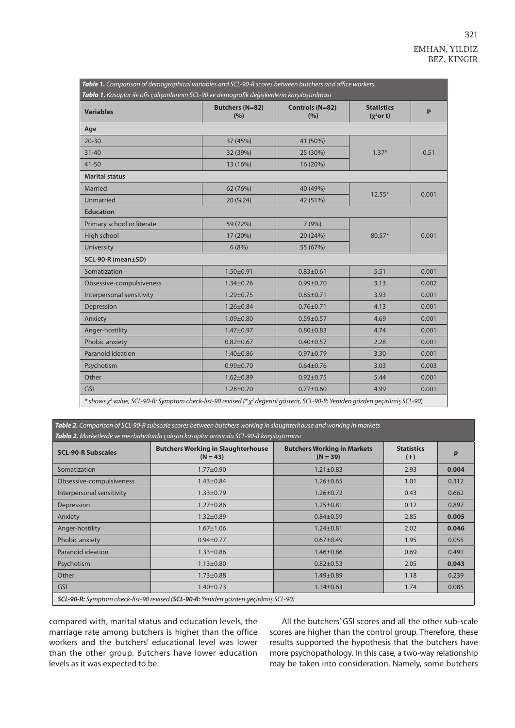| Table 1. Comparison of demographical variables and SCL-90-R scores between butchers and office workers.<br>Tablo 1. Kasaplar ile ofis çalışanlarının SCL-90 ve demografik değişkenlerin karşılaştırılması |                               |                        |                                   |       |  |  |  |
|-----------------------------------------------------------------------------------------------------------------------------------------------------------------------------------------------------------|-------------------------------|------------------------|-----------------------------------|-------|--|--|--|
| <b>Variables</b>                                                                                                                                                                                          | <b>Butchers (N=82)</b><br>(%) | Controls (N=82)<br>(%) | <b>Statistics</b><br>$(x^2$ or t) | P     |  |  |  |
| Age                                                                                                                                                                                                       |                               |                        |                                   |       |  |  |  |
| $20 - 30$                                                                                                                                                                                                 | 37 (45%)                      | 41 (50%)               | $1.37*$                           | 0.51  |  |  |  |
| $31 - 40$                                                                                                                                                                                                 | 32 (39%)                      | 25 (30%)               |                                   |       |  |  |  |
| $41 - 50$                                                                                                                                                                                                 | 13 (16%)                      | 16 (20%)               |                                   |       |  |  |  |
| <b>Marital status</b>                                                                                                                                                                                     |                               |                        |                                   |       |  |  |  |
| Married                                                                                                                                                                                                   | 62 (76%)                      | 40 (49%)               | $12.55*$                          | 0.001 |  |  |  |
| Unmarried                                                                                                                                                                                                 | 20 (%24)                      | 42 (51%)               |                                   |       |  |  |  |
| <b>Education</b>                                                                                                                                                                                          |                               |                        |                                   |       |  |  |  |
| Primary school or literate                                                                                                                                                                                | 59 (72%)                      | 7(9%)                  | 80.57*                            | 0.001 |  |  |  |
| High school                                                                                                                                                                                               | 17 (20%)                      | 20 (24%)               |                                   |       |  |  |  |
| University                                                                                                                                                                                                | 6(8%)                         | 55 (67%)               |                                   |       |  |  |  |
| SCL-90-R (mean±SD)                                                                                                                                                                                        |                               |                        |                                   |       |  |  |  |
| Somatization                                                                                                                                                                                              | $1.50 \pm 0.91$               | $0.83 \pm 0.61$        | 5.51                              | 0.001 |  |  |  |
| Obsessive-compulsiveness                                                                                                                                                                                  | $1.34 \pm 0.76$               | $0.99 + 0.70$          | 3.13                              | 0.002 |  |  |  |
| Interpersonal sensitivity                                                                                                                                                                                 | $1.29 \pm 0.75$               | $0.85 \pm 0.71$        | 3.93                              | 0.001 |  |  |  |
| Depression                                                                                                                                                                                                | $1.26 \pm 0.84$               | $0.76 \pm 0.71$        | 4.13                              | 0.001 |  |  |  |
| Anxiety                                                                                                                                                                                                   | $1.09 + 0.80$                 | $0.59 \pm 0.57$        | 4.69                              | 0.001 |  |  |  |
| Anger-hostility                                                                                                                                                                                           | $1.47 + 0.97$                 | $0.80 + 0.83$          | 4.74                              | 0.001 |  |  |  |
| Phobic anxiety                                                                                                                                                                                            | $0.82 \pm 0.67$               | $0.40 \pm 0.57$        | 2.28                              | 0.001 |  |  |  |
| Paranoid ideation                                                                                                                                                                                         | $1.40 \pm 0.86$               | $0.97 + 0.79$          | 3.30                              | 0.001 |  |  |  |
| Psychotism                                                                                                                                                                                                | $0.99 + 0.70$                 | $0.64 \pm 0.76$        | 3.03                              | 0.003 |  |  |  |
| Other                                                                                                                                                                                                     | $1.62 \pm 0.89$               | $0.92 \pm 0.75$        | 5.44                              | 0.001 |  |  |  |
| <b>GSI</b>                                                                                                                                                                                                | $1.28 + 0.70$                 | $0.77 + 0.60$          | 4.99                              | 0.001 |  |  |  |
| * shows y <sup>2</sup> value, SCL-90-R: Symptom check-list-90 revised (* y <sup>2</sup> değerini gösterir, SCL-90-R: Yeniden gözden geçirilmiş SCL-90)                                                    |                               |                        |                                   |       |  |  |  |

*Table 2. Comparison of SCL-90-R subscale scores between butchers working in slaughterhouse and working in markets Tablo 2. Marketlerde ve mezbahalarda çalışan kasaplar arasında SCL-90-R karşılaştırması*

| <b>SCL-90-R Subscales</b>                                                                           | <b>Butchers Working in Slaughterhouse</b><br>$(N = 43)$ | <b>Butchers Working in Markets</b><br>$(N = 39)$ | <b>Statistics</b><br>(t) | $\boldsymbol{p}$ |  |  |
|-----------------------------------------------------------------------------------------------------|---------------------------------------------------------|--------------------------------------------------|--------------------------|------------------|--|--|
| Somatization                                                                                        | $1.77 \pm 0.90$                                         | $1.21 \pm 0.83$                                  | 2.93                     | 0.004            |  |  |
| Obsessive-compulsiveness                                                                            | $1.43 \pm 0.84$                                         | $1.26 \pm 0.65$                                  | 1.01                     | 0.312            |  |  |
| Interpersonal sensitivity                                                                           | $1.33 \pm 0.79$                                         | $1.26 \pm 0.72$                                  | 0.43                     | 0.662            |  |  |
| Depression                                                                                          | $1.27 \pm 0.86$                                         | $1.25 \pm 0.81$                                  | 0.12                     | 0.897            |  |  |
| Anxiety                                                                                             | $1.32 \pm 0.89$                                         | $0.84 \pm 0.59$                                  | 2.85                     | 0.005            |  |  |
| Anger-hostility                                                                                     | $1.67 \pm 1.06$                                         | $1.24 \pm 0.81$                                  | 2.02                     | 0.046            |  |  |
| Phobic anxiety                                                                                      | $0.94 \pm 0.77$                                         | $0.67 \pm 0.49$                                  | 1.95                     | 0.055            |  |  |
| Paranoid ideation                                                                                   | $1.33 \pm 0.86$                                         | $1.46 \pm 0.86$                                  | 0.69                     | 0.491            |  |  |
| Psychotism                                                                                          | $1.13 \pm 0.80$                                         | $0.82 \pm 0.53$                                  | 2.05                     | 0.043            |  |  |
| Other                                                                                               | $1.73 \pm 0.88$                                         | $1.49 \pm 0.89$                                  | 1.18                     | 0.239            |  |  |
| <b>GSI</b>                                                                                          | $1.40 \pm 0.73$                                         | $1.14 \pm 0.63$                                  | 1.74                     | 0.085            |  |  |
| <b>SCL-90-R:</b> Symptom check-list-90 revised ( <b>SCL-90-R:</b> Yeniden gözden gecirilmis SCL-90) |                                                         |                                                  |                          |                  |  |  |

compared with, marital status and education levels, the marriage rate among butchers is higher than the office workers and the butchers' educational level was lower than the other group. Butchers have lower education levels as it was expected to be.

All the butchers' GSI scores and all the other sub-scale scores are higher than the control group. Therefore, these results supported the hypothesis that the butchers have more psychopathology. In this case, a two-way relationship may be taken into consideration. Namely, some butchers